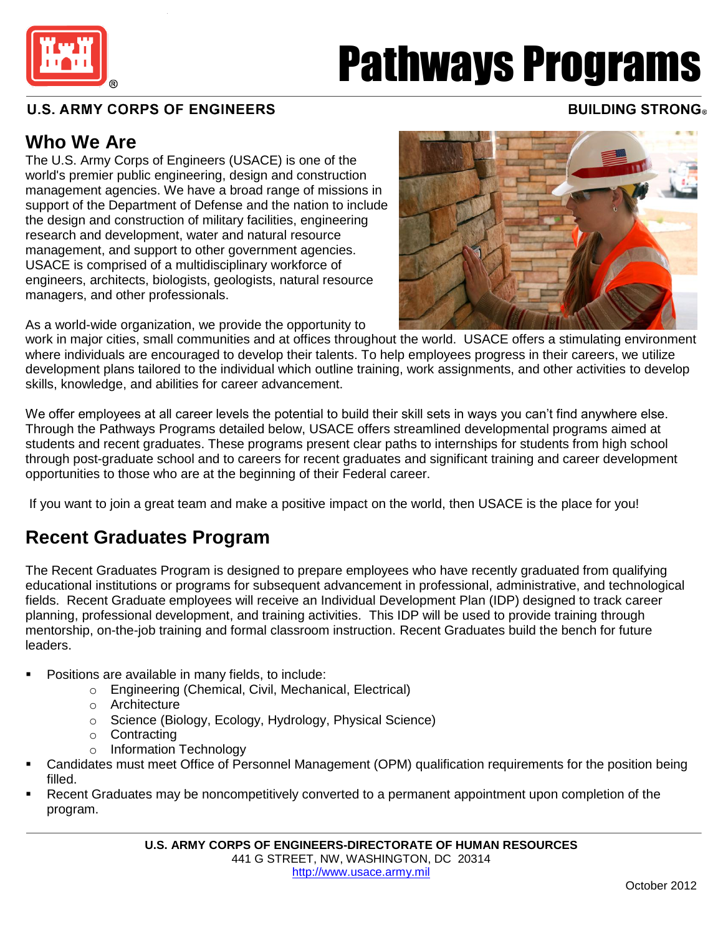

# Pathways Programs

#### $\frac{1}{1}$ **U.S. ARMY CORPS OF ENGINEERS** ľ

#### **BUILDING STRONG®**

#### **Who We Are**

The U.S. Army Corps of Engineers (USACE) is one of the world's premier public engineering, design and construction management agencies. We have a broad range of missions in support of the Department of Defense and the nation to include the design and construction of military facilities, engineering research and development, water and natural resource management, and support to other government agencies. USACE is comprised of a multidisciplinary workforce of engineers, architects, biologists, geologists, natural resource managers, and other professionals.

As a world-wide organization, we provide the opportunity to

work in major cities, small communities and at offices throughout the world. USACE offers a stimulating environment where individuals are encouraged to develop their talents. To help employees progress in their careers, we utilize development plans tailored to the individual which outline training, work assignments, and other activities to develop skills, knowledge, and abilities for career advancement.

We offer employees at all career levels the potential to build their skill sets in ways you can't find anywhere else. Through the Pathways Programs detailed below, USACE offers streamlined developmental programs aimed at students and recent graduates. These programs present clear paths to internships for students from high school through post-graduate school and to careers for recent graduates and significant training and career development opportunities to those who are at the beginning of their Federal career.

If you want to join a great team and make a positive impact on the world, then USACE is the place for you!

#### **Recent Graduates Program**

The Recent Graduates Program is designed to prepare employees who have recently graduated from qualifying educational institutions or programs for subsequent advancement in professional, administrative, and technological fields. Recent Graduate employees will receive an Individual Development Plan (IDP) designed to track career planning, professional development, and training activities. This IDP will be used to provide training through mentorship, on-the-job training and formal classroom instruction. Recent Graduates build the bench for future leaders.

- Positions are available in many fields, to include:
	- o Engineering (Chemical, Civil, Mechanical, Electrical)
	- o Architecture
	- o Science (Biology, Ecology, Hydrology, Physical Science)
	- o Contracting
	- o Information Technology
- Candidates must meet Office of Personnel Management (OPM) qualification requirements for the position being filled.
- Recent Graduates may be noncompetitively converted to a permanent appointment upon completion of the program.